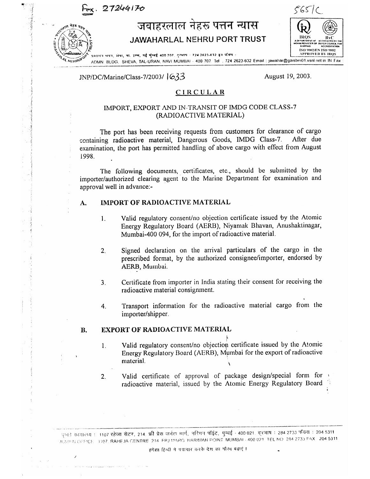27244170

# जवाहरलाल नेहरू पत्तन न्यास JAWAHARLAL NEHRU PORT TRUST



शासन भयन, शंखा, ता. उष्ण, नई मुम्बई 400.707. तुम्भाष : 724.2623.632 इन पश्यिम् : ADMN. BLOG. SHEVA, TAL-URAN, NAVI MUMBAI - 400 707. Tel . 724 2623-632 Email: jawahar@gaisbm01.vsnl.net in IN Fax **NETHRUP** 

### JNP/DC/Marine/Class-7/2003/ 633

August 19, 2003.

### **CIRCULAR**

### IMPORT, EXPORT AND IN-TRANSIT OF IMDG CODE CLASS-7 (RADIOACTIVE MATERIAL)

The port has been receiving requests from customers for clearance of cargo containing radioactive material, Dangerous Goods, IMDG Class-7. After due examination, the port has permitted handling of above cargo with effect from August 1998.

The following documents, certificates, etc., should be submitted by the importer/authorized clearing agent to the Marine Department for examination and approval well in advance:-

#### **IMPORT OF RADIOACTIVE MATERIAL**  $A.$

- Valid regulatory consent/no objection certificate issued by the Atomic  $\mathbf{1}$ . Energy Regulatory Board (AERB), Niyamak Bhavan, Anushaktinagar, Mumbai-400 094, for the import of radioactive material.
- Signed declaration on the arrival particulars of the cargo in the  $2.$ prescribed format, by the authorized consignee/importer, endorsed by AERB, Mumbai.
- Certificate from importer in India stating their consent for receiving the  $3<sub>1</sub>$ radioactive material consignment.
- Transport information for the radioactive material cargo from the 4. importer/shipper.

#### **EXPORT OF RADIOACTIVE MATERIAL B.**

- Valid regulatory consent/no objection certificate issued by the Atomic  $\mathbf{1}$ . Energy Regulatory Board (AERB), Mumbai for the export of radioactive material.
- Valid certificate of approval of package design/special form for  $2.$ radioactive material, issued by the Atomic Energy Regulatory Board

मुम्बई कावालय : 1107 रहेजा सेटर, 214, फ्री प्रेस जर्नल मार्ग, नरिमन पॉइंट, मुम्बई - 400.021, दूरभाष : 284.2733 फॅक्स : 204.5311 MUMPALOFFICE 1107. RAHEJA CENTRE 214 FRJ MARG NARIMAN POINT MUMBAL-400.021 TEL NO 284 2733 FAX 204 5311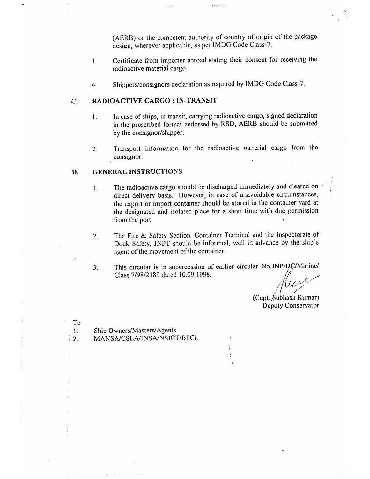(AERB) or the competent authority of country of origin of the package design, wherever applicable, as per IMDG Code Class-7.

- Certificate from importer abroad stating their consent for receiving the  $3<sub>1</sub>$ radioactive material cargo.
- Shippers/consignors declaration as required by IMDG Code Class-7. 4.

#### RADIOACTIVE CARGO : IN-TRANSIT C.

- In case of ships, in-transit, carrying radioactive cargo, signed declaration  $\mathbf{1}$ . in the prescribed format endorsed by RSD, AERB should be submitted by the consignor/shipper.
- Transport information for the radioactive material cargo from the  $2.$ consignor.

#### **GENERAL INSTRUCTIONS** D.

- The radioactive cargo should be discharged immediately and cleared on  $\mathbf{1}$ . direct delivery basis. However, in case of unavoidable circumstances, the export or import container should be stored in the container yard at the designated and isolated place for a short time with due permission from the port.
- The Fire & Safety Section, Container Terminal and the Inspectorate of  $\overline{2}$ . Dock Safety, JNPT should be informed, well in advance by the ship's agent of the movement of the container.
- This circular is in supercession of earlier circular No.JNP/DC/Marine/ 3. Class 7/98/2189 dated 10.09.1998.

Ì

With

(Capt. Subhash Kumar) Deputy Conservator

To Ship Owners/Masters/Agents 1.  $\overline{2}$ .

MANSA/CSLA/INSA/NSICT/BPCL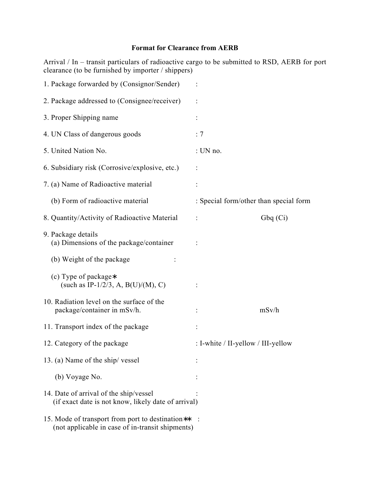## **Format for Clearance from AERB**

Arrival / In – transit particulars of radioactive cargo to be submitted to RSD, AERB for port clearance (to be furnished by importer / shippers)

| 1. Package forwarded by (Consignor/Sender)                                                           |                                        |         |
|------------------------------------------------------------------------------------------------------|----------------------------------------|---------|
| 2. Package addressed to (Consignee/receiver)                                                         |                                        |         |
| 3. Proper Shipping name                                                                              |                                        |         |
| 4. UN Class of dangerous goods                                                                       | : 7                                    |         |
| 5. United Nation No.                                                                                 | : UN no.                               |         |
| 6. Subsidiary risk (Corrosive/explosive, etc.)                                                       |                                        |         |
| 7. (a) Name of Radioactive material                                                                  |                                        |         |
| (b) Form of radioactive material                                                                     | : Special form/other than special form |         |
| 8. Quantity/Activity of Radioactive Material                                                         | $\ddot{\cdot}$                         | Gbq(Ci) |
| 9. Package details<br>(a) Dimensions of the package/container                                        |                                        |         |
| (b) Weight of the package                                                                            |                                        |         |
| (c) Type of package*<br>(such as IP-1/2/3, A, B(U)/(M), C)                                           |                                        |         |
| 10. Radiation level on the surface of the<br>package/container in mSv/h.                             |                                        | mSv/h   |
| 11. Transport index of the package                                                                   |                                        |         |
| 12. Category of the package                                                                          | : I-white / II-yellow / III-yellow     |         |
| 13. (a) Name of the ship/vessel                                                                      |                                        |         |
| (b) Voyage No.                                                                                       |                                        |         |
| 14. Date of arrival of the ship/vessel<br>(if exact date is not know, likely date of arrival)        |                                        |         |
| 15. Mode of transport from port to destination**<br>(not applicable in case of in-transit shipments) |                                        |         |